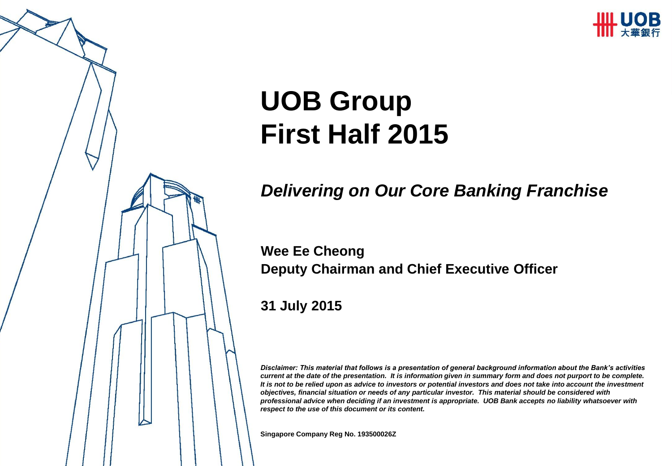

# **UOB Group First Half 2015**

### *Delivering on Our Core Banking Franchise*

### **Wee Ee Cheong Deputy Chairman and Chief Executive Officer**

**31 July 2015**

*Disclaimer: This material that follows is a presentation of general background information about the Bank's activities current at the date of the presentation. It is information given in summary form and does not purport to be complete. It is not to be relied upon as advice to investors or potential investors and does not take into account the investment objectives, financial situation or needs of any particular investor. This material should be considered with professional advice when deciding if an investment is appropriate. UOB Bank accepts no liability whatsoever with respect to the use of this document or its content.*

**Singapore Company Reg No. 193500026Z**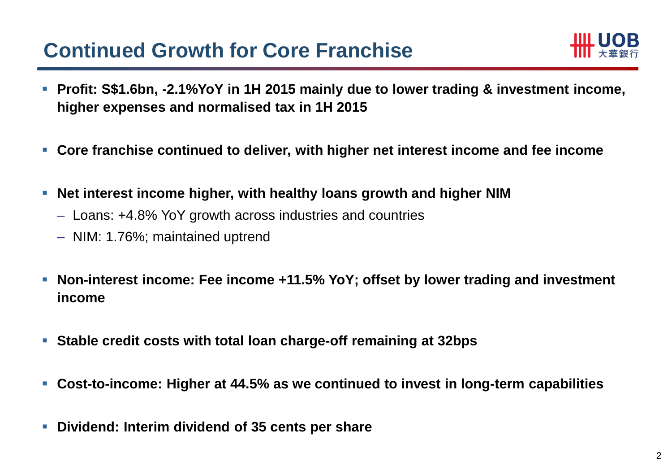### **Continued Growth for Core Franchise**



- **Profit: S\$1.6bn, -2.1%YoY in 1H 2015 mainly due to lower trading & investment income, higher expenses and normalised tax in 1H 2015**
- **Core franchise continued to deliver, with higher net interest income and fee income**
- **Net interest income higher, with healthy loans growth and higher NIM**
	- Loans: +4.8% YoY growth across industries and countries
	- NIM: 1.76%; maintained uptrend
- **Non-interest income: Fee income +11.5% YoY; offset by lower trading and investment income**
- **Stable credit costs with total loan charge-off remaining at 32bps**
- **Cost-to-income: Higher at 44.5% as we continued to invest in long-term capabilities**
- **Dividend: Interim dividend of 35 cents per share**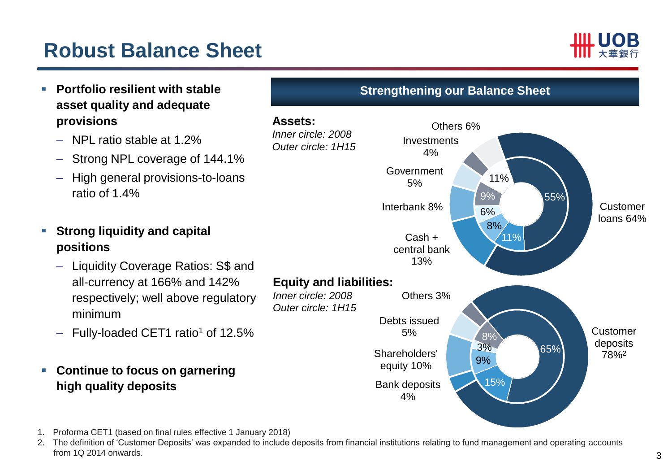### **Robust Balance Sheet**





<sup>2.</sup> The definition of 'Customer Deposits' was expanded to include deposits from financial institutions relating to fund management and operating accounts from 1Q 2014 onwards.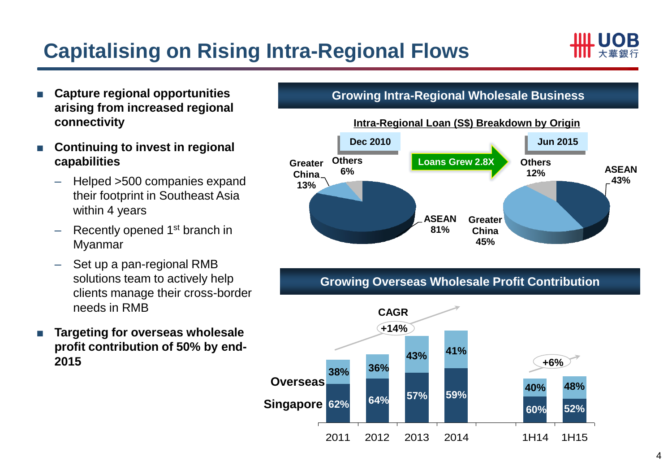## **Capitalising on Rising Intra-Regional Flows**



- **Capture regional opportunities arising from increased regional connectivity**
- **Continuing to invest in regional capabilities**
	- Helped >500 companies expand their footprint in Southeast Asia within 4 years
	- Recently opened 1<sup>st</sup> branch in Myanmar
	- Set up a pan-regional RMB solutions team to actively help clients manage their cross-border needs in RMB
- **Targeting for overseas wholesale profit contribution of 50% by end-2015**

#### **Growing Intra-Regional Wholesale Business**



#### **Growing Overseas Wholesale Profit Contribution**

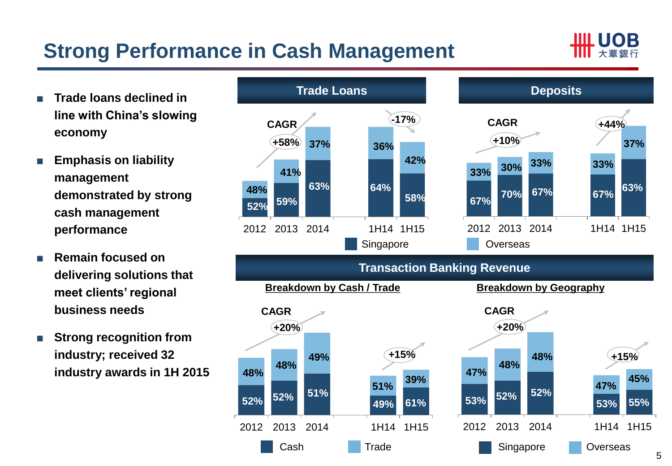## **Strong Performance in Cash Management**



- **Trade loans declined in line with China's slowing economy**
- **Emphasis on liability management demonstrated by strong cash management performance**
- **Remain focused on delivering solutions that meet clients' regional business needs**
- **Strong recognition from industry; received 32 industry awards in 1H 2015**

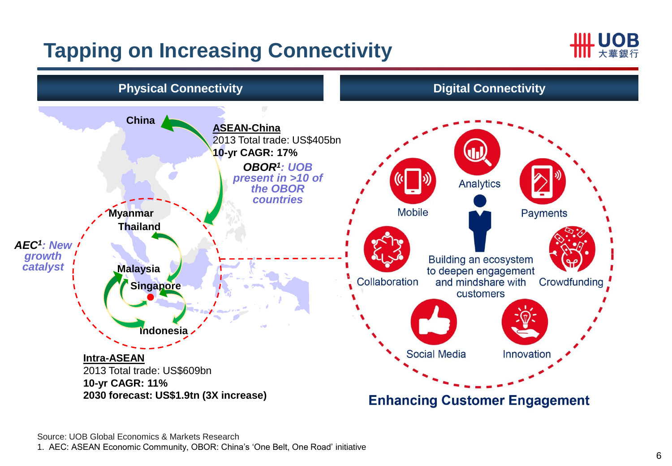### **Tapping on Increasing Connectivity**



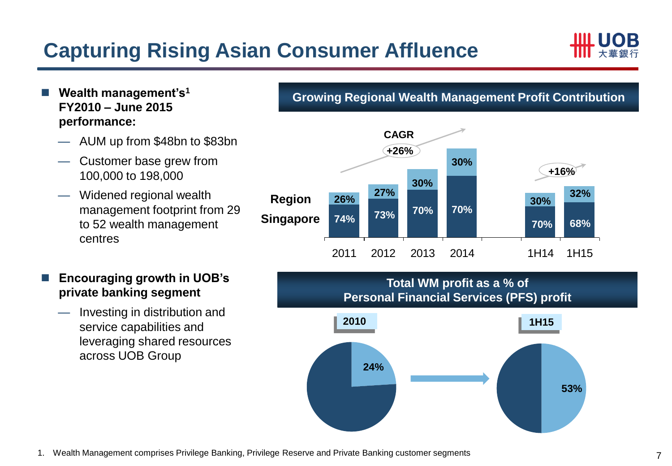### **Capturing Rising Asian Consumer Affluence**



- **Wealth management's<sup>1</sup> FY2010 – June 2015 performance:**
	- AUM up from \$48bn to \$83bn
	- Customer base grew from 100,000 to 198,000
	- Widened regional wealth management footprint from 29 to 52 wealth management centres
- **Encouraging growth in UOB's private banking segment**
	- Investing in distribution and service capabilities and leveraging shared resources across UOB Group

**Growing Regional Wealth Management Profit Contribution**



#### **Total WM profit as a % of Personal Financial Services (PFS) profit**